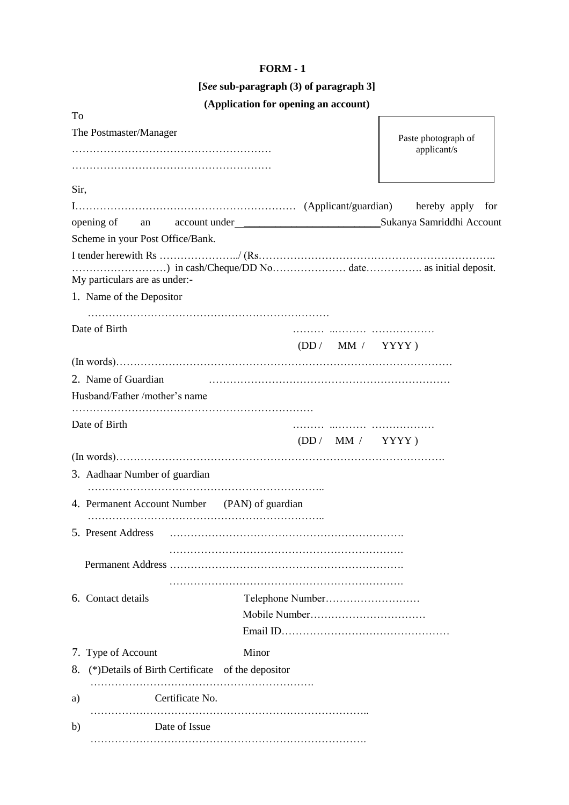### **FORM - 1**

# **[***See* **sub-paragraph (3) of paragraph 3]**

# **(Application for opening an account)**

| To                                                      |                                                       |                     |
|---------------------------------------------------------|-------------------------------------------------------|---------------------|
| The Postmaster/Manager                                  |                                                       | Paste photograph of |
|                                                         |                                                       | applicant/s         |
|                                                         |                                                       |                     |
| Sir,                                                    |                                                       |                     |
|                                                         |                                                       |                     |
|                                                         | opening of an account under Sukanya Samriddhi Account |                     |
| Scheme in your Post Office/Bank.                        |                                                       |                     |
|                                                         |                                                       |                     |
|                                                         |                                                       |                     |
| My particulars are as under:-                           |                                                       |                     |
| 1. Name of the Depositor                                |                                                       |                     |
|                                                         |                                                       |                     |
| Date of Birth                                           |                                                       |                     |
|                                                         | (DD / MM / YYYY)                                      |                     |
| 2. Name of Guardian                                     |                                                       |                     |
| Husband/Father /mother's name                           |                                                       |                     |
|                                                         |                                                       |                     |
| Date of Birth                                           |                                                       |                     |
|                                                         | (DD / MM / YYYY)                                      |                     |
|                                                         |                                                       |                     |
| 3. Aadhaar Number of guardian                           |                                                       |                     |
|                                                         |                                                       |                     |
| 4. Permanent Account Number (PAN) of guardian           |                                                       |                     |
|                                                         |                                                       |                     |
| 5. Present Address                                      |                                                       |                     |
|                                                         |                                                       |                     |
|                                                         |                                                       |                     |
| 6. Contact details                                      |                                                       |                     |
|                                                         |                                                       |                     |
|                                                         |                                                       |                     |
|                                                         |                                                       |                     |
| 7. Type of Account                                      | Minor                                                 |                     |
| (*) Details of Birth Certificate of the depositor<br>8. |                                                       |                     |
| Certificate No.<br>a)                                   |                                                       |                     |
| Date of Issue<br>b)                                     |                                                       |                     |
|                                                         |                                                       |                     |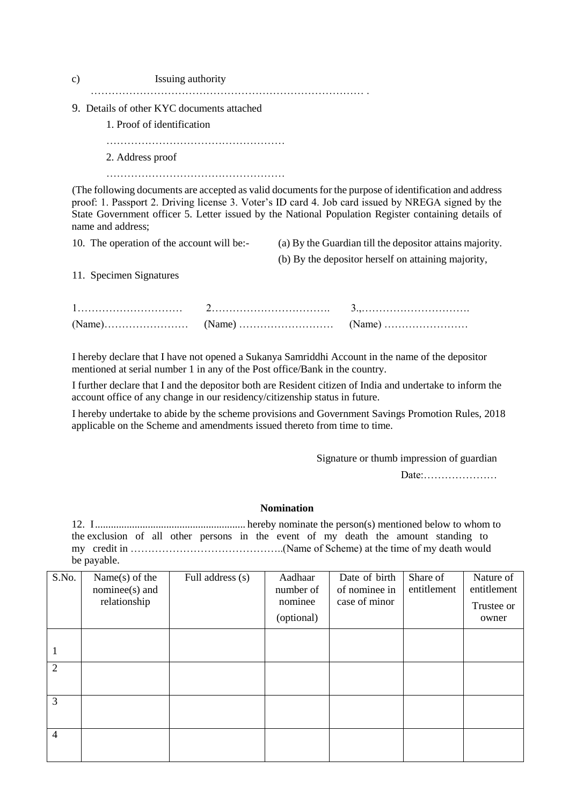| c) | Issuing authority                                                                                      |
|----|--------------------------------------------------------------------------------------------------------|
|    | 9. Details of other KYC documents attached                                                             |
|    | 1. Proof of identification                                                                             |
|    |                                                                                                        |
|    | 2. Address proof                                                                                       |
|    |                                                                                                        |
|    | (The following documents are accepted as valid documents for the purpose of identification and address |
|    | proof: 1. Passport 2. Driving license 3. Voter's ID card 4. Job card issued by NREGA signed by the     |
|    | State Government officer 5. Letter issued by the National Population Register containing details of    |

name and address;

10. The operation of the account will be:- (a) By the Guardian till the depositor attains majority.

(b) By the depositor herself on attaining majority,

11. Specimen Signatures

I hereby declare that I have not opened a Sukanya Samriddhi Account in the name of the depositor mentioned at serial number 1 in any of the Post office/Bank in the country.

I further declare that I and the depositor both are Resident citizen of India and undertake to inform the account office of any change in our residency/citizenship status in future.

I hereby undertake to abide by the scheme provisions and Government Savings Promotion Rules, 2018 applicable on the Scheme and amendments issued thereto from time to time.

Signature or thumb impression of guardian

Date:…………………

#### **Nomination**

12. I......................................................... hereby nominate the person(s) mentioned below to whom to the exclusion of all other persons in the event of my death the amount standing to my credit in ……………………………………..(Name of Scheme) at the time of my death would be payable.

| S.No.          | Name $(s)$ of the | Full address (s) | Aadhaar    | Date of birth | Share of    | Nature of   |
|----------------|-------------------|------------------|------------|---------------|-------------|-------------|
|                | $nominee(s)$ and  |                  | number of  | of nominee in | entitlement | entitlement |
|                | relationship      |                  | nominee    | case of minor |             | Trustee or  |
|                |                   |                  | (optional) |               |             | owner       |
|                |                   |                  |            |               |             |             |
| 1              |                   |                  |            |               |             |             |
| 2              |                   |                  |            |               |             |             |
|                |                   |                  |            |               |             |             |
| 3              |                   |                  |            |               |             |             |
|                |                   |                  |            |               |             |             |
| $\overline{4}$ |                   |                  |            |               |             |             |
|                |                   |                  |            |               |             |             |